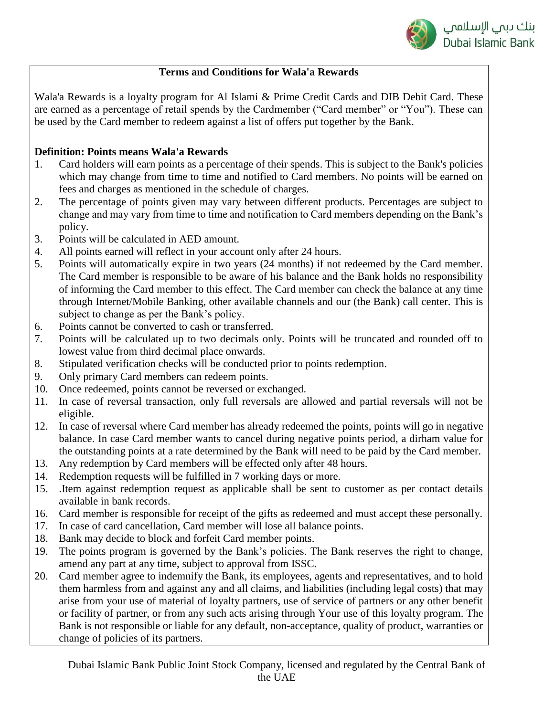

## **Terms and Conditions for Wala'a Rewards**

Wala'a Rewards is a loyalty program for Al Islami & Prime Credit Cards and DIB Debit Card. These are earned as a percentage of retail spends by the Cardmember ("Card member" or "You"). These can be used by the Card member to redeem against a list of offers put together by the Bank.

## **Definition: Points means Wala'a Rewards**

- 1. Card holders will earn points as a percentage of their spends. This is subject to the Bank's policies which may change from time to time and notified to Card members. No points will be earned on fees and charges as mentioned in the schedule of charges.
- 2. The percentage of points given may vary between different products. Percentages are subject to change and may vary from time to time and notification to Card members depending on the Bank's policy.
- 3. Points will be calculated in AED amount.
- 4. All points earned will reflect in your account only after 24 hours.
- 5. Points will automatically expire in two years (24 months) if not redeemed by the Card member. The Card member is responsible to be aware of his balance and the Bank holds no responsibility of informing the Card member to this effect. The Card member can check the balance at any time through Internet/Mobile Banking, other available channels and our (the Bank) call center. This is subject to change as per the Bank's policy.
- 6. Points cannot be converted to cash or transferred.
- 7. Points will be calculated up to two decimals only. Points will be truncated and rounded off to lowest value from third decimal place onwards.
- 8. Stipulated verification checks will be conducted prior to points redemption.
- 9. Only primary Card members can redeem points.
- 10. Once redeemed, points cannot be reversed or exchanged.
- 11. In case of reversal transaction, only full reversals are allowed and partial reversals will not be eligible.
- 12. In case of reversal where Card member has already redeemed the points, points will go in negative balance. In case Card member wants to cancel during negative points period, a dirham value for the outstanding points at a rate determined by the Bank will need to be paid by the Card member.
- 13. Any redemption by Card members will be effected only after 48 hours.
- 14. Redemption requests will be fulfilled in 7 working days or more.
- 15. .Item against redemption request as applicable shall be sent to customer as per contact details available in bank records.
- 16. Card member is responsible for receipt of the gifts as redeemed and must accept these personally.
- 17. In case of card cancellation, Card member will lose all balance points.
- 18. Bank may decide to block and forfeit Card member points.
- 19. The points program is governed by the Bank's policies. The Bank reserves the right to change, amend any part at any time, subject to approval from ISSC.
- 20. Card member agree to indemnify the Bank, its employees, agents and representatives, and to hold them harmless from and against any and all claims, and liabilities (including legal costs) that may arise from your use of material of loyalty partners, use of service of partners or any other benefit or facility of partner, or from any such acts arising through Your use of this loyalty program. The Bank is not responsible or liable for any default, non-acceptance, quality of product, warranties or change of policies of its partners.